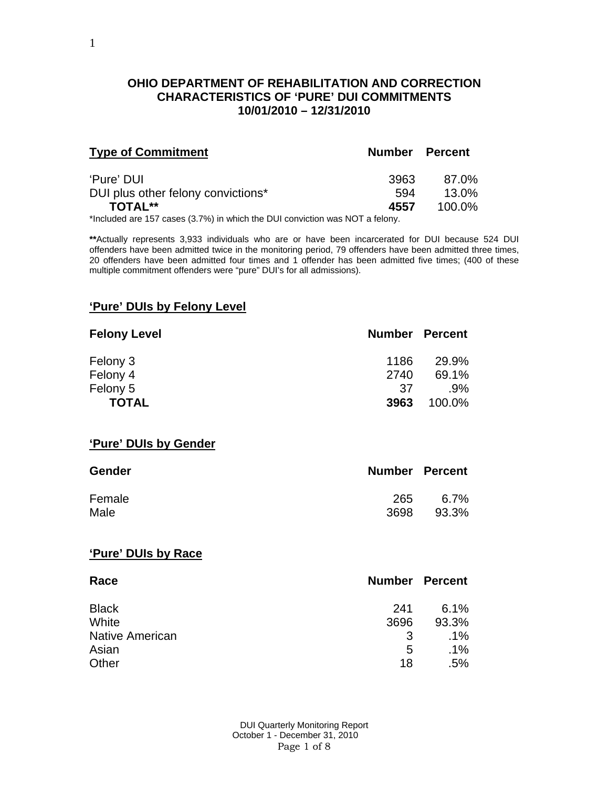## **OHIO DEPARTMENT OF REHABILITATION AND CORRECTION CHARACTERISTICS OF 'PURE' DUI COMMITMENTS 10/01/2010 – 12/31/2010**

| <b>Type of Commitment</b>                        | <b>Number Percent</b> |                |
|--------------------------------------------------|-----------------------|----------------|
| 'Pure' DUI<br>DUI plus other felony convictions* | 3963<br>594           | 87.0%<br>13.0% |
| <b>TOTAL**</b>                                   | 4557                  | 100.0%         |

\*Included are 157 cases (3.7%) in which the DUI conviction was NOT a felony.

**\*\***Actually represents 3,933 individuals who are or have been incarcerated for DUI because 524 DUI offenders have been admitted twice in the monitoring period, 79 offenders have been admitted three times, 20 offenders have been admitted four times and 1 offender has been admitted five times; (400 of these multiple commitment offenders were "pure" DUI's for all admissions).

## **'Pure' DUIs by Felony Level**

| <b>Felony Level</b> | <b>Number Percent</b> |        |
|---------------------|-----------------------|--------|
| Felony 3            | 1186                  | 29.9%  |
| Felony 4            | 2740                  | 69.1%  |
| Felony 5            | .37                   | $.9\%$ |
| <b>TOTAL</b>        | 3963                  | 100.0% |

#### **'Pure' DUIs by Gender**

| <b>Gender</b> | <b>Number Percent</b> |         |
|---------------|-----------------------|---------|
| Female        | 265                   | $6.7\%$ |
| Male          | 3698                  | 93.3%   |

## **'Pure' DUIs by Race**

| Race                   | <b>Number Percent</b> |        |
|------------------------|-----------------------|--------|
| <b>Black</b>           | 241                   | 6.1%   |
| White                  | 3696                  | 93.3%  |
| <b>Native American</b> | 3                     | $.1\%$ |
| Asian                  | 5                     | $.1\%$ |
| Other                  | 18                    | .5%    |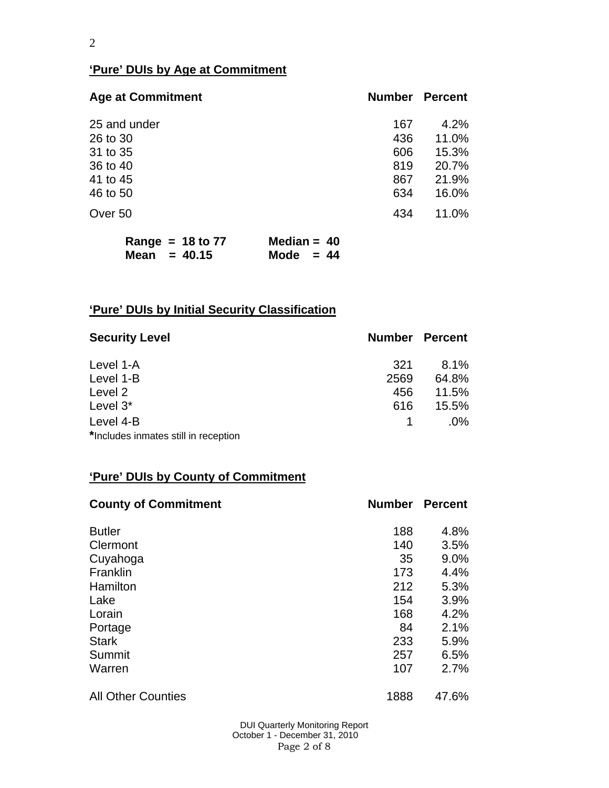# **'Pure' DUIs by Age at Commitment**

| <b>Age at Commitment</b> | <b>Number</b> | <b>Percent</b> |
|--------------------------|---------------|----------------|
| 25 and under             | 167           | 4.2%           |
| 26 to 30                 | 436           | 11.0%          |
| 31 to 35                 | 606           | 15.3%          |
| 36 to 40                 | 819           | 20.7%          |
| 41 to 45                 | 867           | 21.9%          |
| 46 to 50                 | 634           | 16.0%          |
| Over 50                  | 434           | 11.0%          |
|                          |               |                |

|                | Range = $18$ to 77 | Median = $40$ |  |
|----------------|--------------------|---------------|--|
| Mean = $40.15$ |                    | Mode $= 44$   |  |

# **'Pure' DUIs by Initial Security Classification**

| <b>Security Level</b>                | <b>Number Percent</b> |        |
|--------------------------------------|-----------------------|--------|
| Level 1-A                            | 321                   | 8.1%   |
| Level 1-B                            | 2569                  | 64.8%  |
| Level 2                              | 456                   | 11.5%  |
| Level 3*                             | 616                   | 15.5%  |
| Level 4-B                            |                       | $.0\%$ |
| *Includes inmates still in reception |                       |        |

# **'Pure' DUIs by County of Commitment**

| <b>County of Commitment</b> | <b>Number</b> | <b>Percent</b> |
|-----------------------------|---------------|----------------|
| <b>Butler</b>               | 188           | 4.8%           |
| Clermont                    | 140           | 3.5%           |
| Cuyahoga                    | 35            | 9.0%           |
| Franklin                    | 173           | 4.4%           |
| Hamilton                    | 212           | 5.3%           |
| Lake                        | 154           | 3.9%           |
| Lorain                      | 168           | 4.2%           |
| Portage                     | 84            | 2.1%           |
| <b>Stark</b>                | 233           | 5.9%           |
| Summit                      | 257           | 6.5%           |
| Warren                      | 107           | 2.7%           |
| <b>All Other Counties</b>   | 1888          | 47.6%          |

 DUI Quarterly Monitoring Report October 1 - December 31, 2010 Page 2 of 8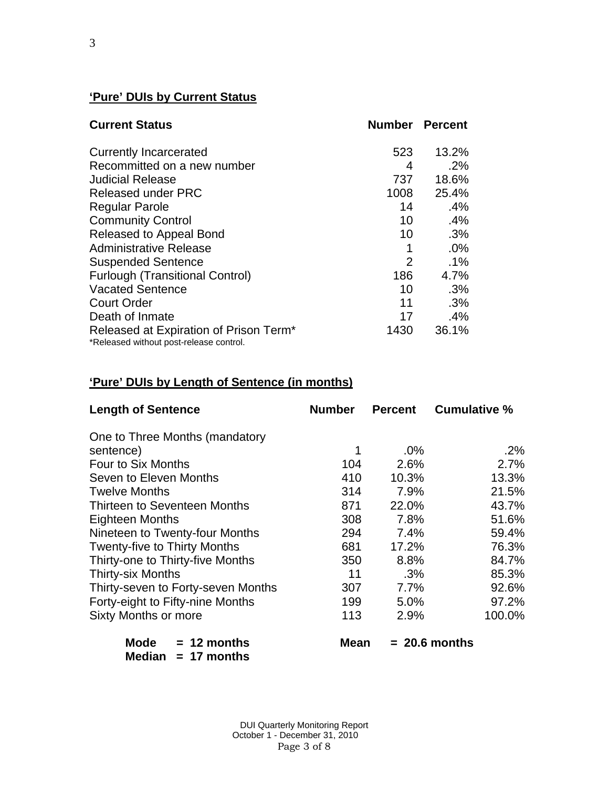# **'Pure' DUIs by Current Status**

| <b>Current Status</b>                                                             | <b>Number Percent</b> |        |
|-----------------------------------------------------------------------------------|-----------------------|--------|
| <b>Currently Incarcerated</b>                                                     | 523                   | 13.2%  |
| Recommitted on a new number                                                       | 4                     | .2%    |
| <b>Judicial Release</b>                                                           | 737                   | 18.6%  |
| <b>Released under PRC</b>                                                         | 1008                  | 25.4%  |
| <b>Regular Parole</b>                                                             | 14                    | .4%    |
| <b>Community Control</b>                                                          | 10                    | .4%    |
| Released to Appeal Bond                                                           | 10                    | .3%    |
| <b>Administrative Release</b>                                                     | 1                     | .0%    |
| <b>Suspended Sentence</b>                                                         | $\overline{2}$        | $.1\%$ |
| <b>Furlough (Transitional Control)</b>                                            | 186                   | 4.7%   |
| <b>Vacated Sentence</b>                                                           | 10                    | .3%    |
| <b>Court Order</b>                                                                | 11                    | .3%    |
| Death of Inmate                                                                   | 17                    | .4%    |
| Released at Expiration of Prison Term*<br>*Released without post-release control. | 1430                  | 36.1%  |

# **'Pure' DUIs by Length of Sentence (in months)**

| <b>Length of Sentence</b>                        | <b>Number</b> | <b>Percent</b> | <b>Cumulative %</b> |
|--------------------------------------------------|---------------|----------------|---------------------|
| One to Three Months (mandatory                   |               |                |                     |
| sentence)                                        | 1             | $.0\%$         | $.2\%$              |
| Four to Six Months                               | 104           | 2.6%           | 2.7%                |
| Seven to Eleven Months                           | 410           | 10.3%          | 13.3%               |
| <b>Twelve Months</b>                             | 314           | 7.9%           | 21.5%               |
| Thirteen to Seventeen Months                     | 871           | 22.0%          | 43.7%               |
| Eighteen Months                                  | 308           | 7.8%           | 51.6%               |
| Nineteen to Twenty-four Months                   | 294           | 7.4%           | 59.4%               |
| <b>Twenty-five to Thirty Months</b>              | 681           | 17.2%          | 76.3%               |
| Thirty-one to Thirty-five Months                 | 350           | 8.8%           | 84.7%               |
| <b>Thirty-six Months</b>                         | 11            | .3%            | 85.3%               |
| Thirty-seven to Forty-seven Months               | 307           | 7.7%           | 92.6%               |
| Forty-eight to Fifty-nine Months                 | 199           | 5.0%           | 97.2%               |
| <b>Sixty Months or more</b>                      | 113           | 2.9%           | 100.0%              |
| Mode<br>$= 12$ months<br>Median<br>$= 17$ months | Mean          |                | $= 20.6$ months     |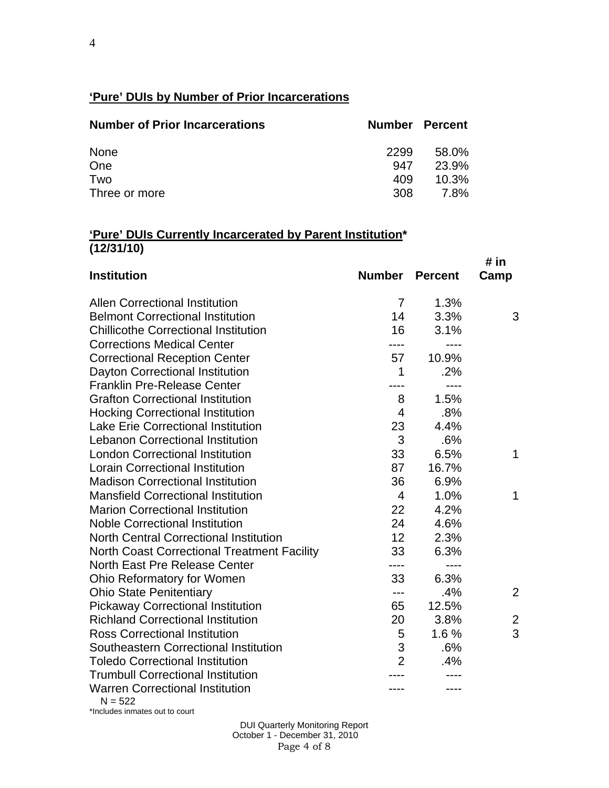# **'Pure' DUIs by Number of Prior Incarcerations**

| <b>Number of Prior Incarcerations</b> |      | <b>Number Percent</b> |
|---------------------------------------|------|-----------------------|
| None                                  | 2299 | 58.0%                 |
| One                                   | 947  | 23.9%                 |
| Two                                   | 409  | 10.3%                 |
| Three or more                         | 308  | 7.8%                  |

#### **'Pure' DUIs Currently Incarcerated by Parent Institution\* (12/31/10)**

| <b>Institution</b>                                  | <b>Number Percent</b> |           | # in<br>Camp   |
|-----------------------------------------------------|-----------------------|-----------|----------------|
| <b>Allen Correctional Institution</b>               | $\overline{7}$        | 1.3%      |                |
| <b>Belmont Correctional Institution</b>             | 14                    | 3.3%      | 3              |
| <b>Chillicothe Correctional Institution</b>         | 16                    | 3.1%      |                |
| <b>Corrections Medical Center</b>                   |                       |           |                |
| <b>Correctional Reception Center</b>                | 57                    | 10.9%     |                |
| Dayton Correctional Institution                     | 1                     | .2%       |                |
| <b>Franklin Pre-Release Center</b>                  |                       | $---$     |                |
| <b>Grafton Correctional Institution</b>             | 8                     | 1.5%      |                |
| <b>Hocking Correctional Institution</b>             | $\overline{4}$        | .8%       |                |
| <b>Lake Erie Correctional Institution</b>           | 23                    | 4.4%      |                |
| <b>Lebanon Correctional Institution</b>             | 3                     | .6%       |                |
| <b>London Correctional Institution</b>              | 33                    | 6.5%      | $\mathbf{1}$   |
| <b>Lorain Correctional Institution</b>              | 87                    | 16.7%     |                |
| <b>Madison Correctional Institution</b>             | 36                    | 6.9%      |                |
| <b>Mansfield Correctional Institution</b>           | $\overline{4}$        | 1.0%      | 1              |
| <b>Marion Correctional Institution</b>              | 22                    | 4.2%      |                |
| <b>Noble Correctional Institution</b>               | 24                    | 4.6%      |                |
| <b>North Central Correctional Institution</b>       | 12                    | 2.3%      |                |
| <b>North Coast Correctional Treatment Facility</b>  | 33                    | 6.3%      |                |
| North East Pre Release Center                       | ----                  | $- - - -$ |                |
| Ohio Reformatory for Women                          | 33                    | 6.3%      |                |
| <b>Ohio State Penitentiary</b>                      | ---                   | .4%       | $\overline{2}$ |
| <b>Pickaway Correctional Institution</b>            | 65                    | 12.5%     |                |
| <b>Richland Correctional Institution</b>            | 20                    | 3.8%      | 2              |
| <b>Ross Correctional Institution</b>                | 5                     | 1.6%      | 3              |
| Southeastern Correctional Institution               | 3                     | .6%       |                |
| <b>Toledo Correctional Institution</b>              | $\overline{2}$        | .4%       |                |
| <b>Trumbull Correctional Institution</b>            |                       |           |                |
| <b>Warren Correctional Institution</b><br>$N = 522$ |                       |           |                |

\*Includes inmates out to court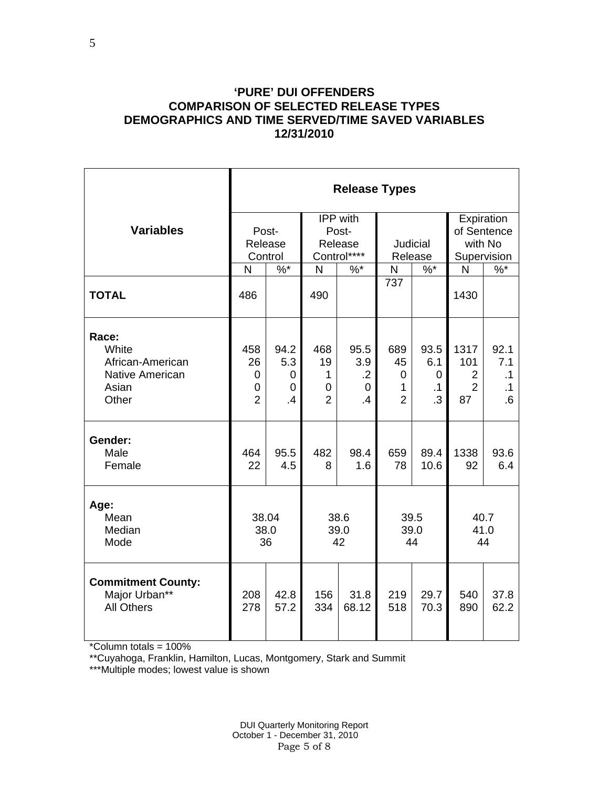#### **'PURE' DUI OFFENDERS COMPARISON OF SELECTED RELEASE TYPES DEMOGRAPHICS AND TIME SERVED/TIME SAVED VARIABLES 12/31/2010**

|                                                                                | <b>Release Types</b>                            |                             |                                       |                                             |                                                 |                                            |                                                       |                                      |  |  |
|--------------------------------------------------------------------------------|-------------------------------------------------|-----------------------------|---------------------------------------|---------------------------------------------|-------------------------------------------------|--------------------------------------------|-------------------------------------------------------|--------------------------------------|--|--|
| <b>Variables</b>                                                               | Post-<br>Release<br>Control                     |                             |                                       | IPP with<br>Post-<br>Release<br>Control**** | Judicial<br>Release                             |                                            | Expiration<br>of Sentence<br>with No<br>Supervision   |                                      |  |  |
|                                                                                | $\%$ *<br>N                                     |                             | N                                     | $%$ *                                       | N                                               | $\%$ *                                     | $\%$<br>N                                             |                                      |  |  |
| <b>TOTAL</b>                                                                   | 486                                             |                             | 490                                   |                                             | 737                                             |                                            | 1430                                                  |                                      |  |  |
| Race:<br>White<br>African-American<br><b>Native American</b><br>Asian<br>Other | 458<br>26<br>0<br>$\mathbf 0$<br>$\overline{2}$ | 94.2<br>5.3<br>0<br>0<br>.4 | 468<br>19<br>1<br>0<br>$\overline{2}$ | 95.5<br>3.9<br>$\cdot$<br>0<br>$\cdot$      | 689<br>45<br>$\mathbf 0$<br>1<br>$\overline{2}$ | 93.5<br>6.1<br>0<br>$\cdot$ 1<br>$\cdot$ 3 | 1317<br>101<br>$\overline{2}$<br>$\overline{2}$<br>87 | 92.1<br>7.1<br>.1<br>$\cdot$ 1<br>.6 |  |  |
| Gender:<br>Male<br>Female                                                      | 464<br>22                                       | 95.5<br>4.5                 | 482<br>8                              | 98.4<br>1.6                                 | 659<br>78                                       | 89.4<br>10.6                               | 1338<br>92                                            | 93.6<br>6.4                          |  |  |
| Age:<br>Mean<br>Median<br>Mode                                                 | 38.04<br>38.0<br>36                             |                             | 38.6<br>39.0<br>42                    |                                             | 39.5<br>39.0<br>44                              |                                            | 40.7<br>41.0<br>44                                    |                                      |  |  |
| <b>Commitment County:</b><br>Major Urban**<br><b>All Others</b>                | 208<br>278                                      | 42.8<br>57.2                | 156<br>334                            | 31.8<br>68.12                               | 219<br>518                                      | 29.7<br>70.3                               | 540<br>890                                            | 37.8<br>62.2                         |  |  |

\*Column totals = 100%

\*\*Cuyahoga, Franklin, Hamilton, Lucas, Montgomery, Stark and Summit

\*\*\*Multiple modes; lowest value is shown

 DUI Quarterly Monitoring Report October 1 - December 31, 2010 Page 5 of 8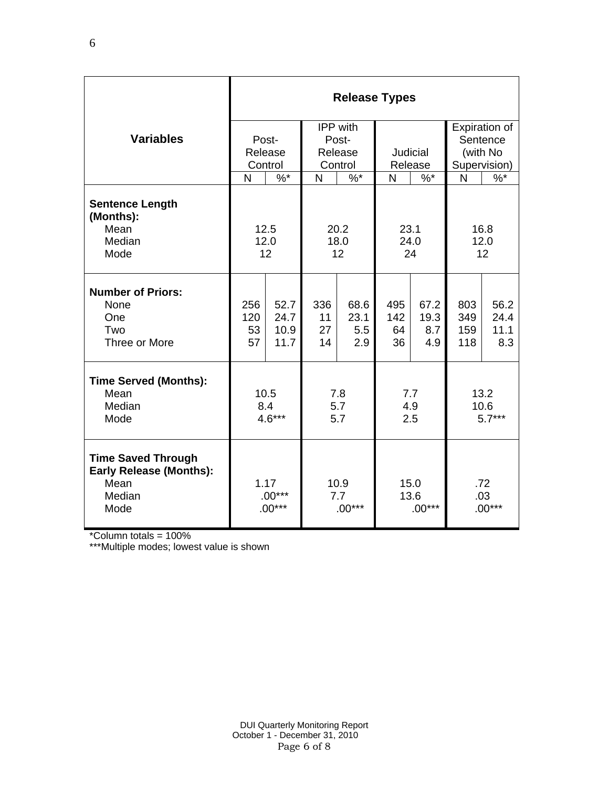|                                                                                       | <b>Release Types</b>         |                              |                         |                            |                          |                            |                          |                             |  |  |
|---------------------------------------------------------------------------------------|------------------------------|------------------------------|-------------------------|----------------------------|--------------------------|----------------------------|--------------------------|-----------------------------|--|--|
| <b>Variables</b>                                                                      |                              |                              |                         | IPP with                   |                          |                            | Expiration of            |                             |  |  |
|                                                                                       |                              | Post-<br>Release             |                         | Post-                      |                          |                            | Sentence<br>(with No     |                             |  |  |
|                                                                                       |                              | Control                      | Release<br>Control      |                            | Judicial<br>Release      |                            | Supervision)             |                             |  |  |
|                                                                                       | N                            | $\%$ *                       | N                       | $%^*$                      | N                        | $%^*$                      | N                        | $\%$ *                      |  |  |
| <b>Sentence Length</b><br>(Months):<br>Mean<br>Median<br>Mode                         |                              | 12.5<br>12.0<br>12           | 20.2<br>18.0<br>12      |                            | 23.1<br>24.0<br>24       |                            | 16.8<br>12.0<br>12       |                             |  |  |
| <b>Number of Priors:</b><br>None<br>One<br>Two<br>Three or More                       | 256<br>120<br>53<br>57       | 52.7<br>24.7<br>10.9<br>11.7 | 336<br>11<br>27<br>14   | 68.6<br>23.1<br>5.5<br>2.9 | 495<br>142<br>64<br>36   | 67.2<br>19.3<br>8.7<br>4.9 | 803<br>349<br>159<br>118 | 56.2<br>24.4<br>11.1<br>8.3 |  |  |
| <b>Time Served (Months):</b><br>Mean<br>Median<br>Mode                                |                              | 10.5<br>8.4<br>$4.6***$      | 7.8<br>5.7<br>5.7       |                            | 7.7<br>4.9<br>2.5        |                            | 13.2<br>10.6<br>$5.7***$ |                             |  |  |
| <b>Time Saved Through</b><br><b>Early Release (Months):</b><br>Mean<br>Median<br>Mode | 1.17<br>$.00***$<br>$.00***$ |                              | 10.9<br>7.7<br>$.00***$ |                            | 15.0<br>13.6<br>$.00***$ |                            | .72<br>.03<br>$.00***$   |                             |  |  |

\*Column totals = 100%

\*\*\*Multiple modes; lowest value is shown